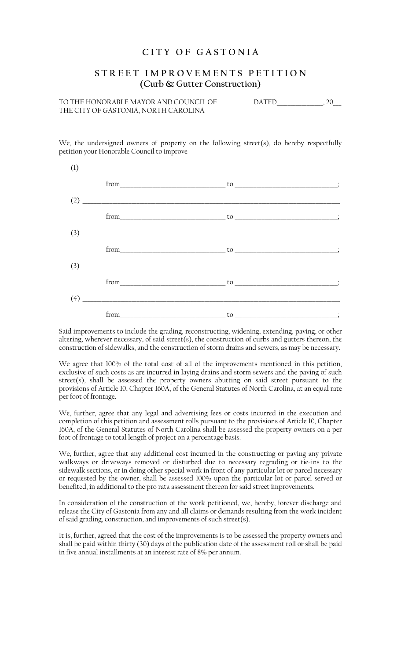## **C I T Y O F G A S T O N I A**

## **S T R E E T I M P R O V E M E N T S P E T I T I O N (Curb & Gutter Construction)**

TO THE HONORABLE MAYOR AND COUNCIL OF THE DATED THE HONORABLE MAYOR AND COUNCIL OF THE CITY OF GASTONIA, NORTH CAROLINA

We, the undersigned owners of property on the following street(s), do hereby respectfully petition your Honorable Council to improve

| (1) | <u> 1980 - Andrea Andrew Maria (h. 1980).</u>                                                                                                                                                                                                                                                                                                                         |                                                                                                                                                                                                                                                                                                                                             |  |
|-----|-----------------------------------------------------------------------------------------------------------------------------------------------------------------------------------------------------------------------------------------------------------------------------------------------------------------------------------------------------------------------|---------------------------------------------------------------------------------------------------------------------------------------------------------------------------------------------------------------------------------------------------------------------------------------------------------------------------------------------|--|
|     |                                                                                                                                                                                                                                                                                                                                                                       |                                                                                                                                                                                                                                                                                                                                             |  |
| (2) |                                                                                                                                                                                                                                                                                                                                                                       |                                                                                                                                                                                                                                                                                                                                             |  |
|     |                                                                                                                                                                                                                                                                                                                                                                       |                                                                                                                                                                                                                                                                                                                                             |  |
|     | $\left(3\right)$                                                                                                                                                                                                                                                                                                                                                      |                                                                                                                                                                                                                                                                                                                                             |  |
|     |                                                                                                                                                                                                                                                                                                                                                                       | $from$ $to$ $to$ $\ldots$ $\ldots$ $\ldots$ $\ldots$ $\ldots$ $\ldots$ $\ldots$ $\ldots$ $\ldots$ $\ldots$ $\ldots$ $\ldots$ $\ldots$ $\ldots$ $\ldots$ $\ldots$ $\ldots$ $\ldots$ $\ldots$ $\ldots$ $\ldots$ $\ldots$ $\ldots$ $\ldots$ $\ldots$ $\ldots$ $\ldots$ $\ldots$ $\ldots$ $\ldots$ $\ldots$ $\ldots$ $\ldots$ $\ldots$ $\ldots$ |  |
|     | $\begin{array}{c} (3) \end{array}$                                                                                                                                                                                                                                                                                                                                    |                                                                                                                                                                                                                                                                                                                                             |  |
|     |                                                                                                                                                                                                                                                                                                                                                                       |                                                                                                                                                                                                                                                                                                                                             |  |
|     | $\begin{picture}(4) \put(0,0){\vector(1,0){100}} \put(15,0){\vector(1,0){100}} \put(15,0){\vector(1,0){100}} \put(15,0){\vector(1,0){100}} \put(15,0){\vector(1,0){100}} \put(15,0){\vector(1,0){100}} \put(15,0){\vector(1,0){100}} \put(15,0){\vector(1,0){100}} \put(15,0){\vector(1,0){100}} \put(15,0){\vector(1,0){100}} \put(15,0){\vector(1,0){100}} \put(15$ |                                                                                                                                                                                                                                                                                                                                             |  |
|     |                                                                                                                                                                                                                                                                                                                                                                       | $\begin{minipage}{.4\linewidth} \n  to \underline{\hspace{1.5cm}} & \multicolumn{2}{.4\linewidth} \nend{minipage}$                                                                                                                                                                                                                          |  |

Said improvements to include the grading, reconstructing, widening, extending, paving, or other altering, wherever necessary, of said street(s), the construction of curbs and gutters thereon, the construction of sidewalks, and the construction of storm drains and sewers, as may be necessary.

We agree that 100% of the total cost of all of the improvements mentioned in this petition, exclusive of such costs as are incurred in laying drains and storm sewers and the paving of such street(s), shall be assessed the property owners abutting on said street pursuant to the provisions of Article 10, Chapter 160A, of the General Statutes of North Carolina, at an equal rate per foot of frontage.

We, further, agree that any legal and advertising fees or costs incurred in the execution and completion of this petition and assessment rolls pursuant to the provisions of Article 10, Chapter 160A, of the General Statutes of North Carolina shall be assessed the property owners on a per foot of frontage to total length of project on a percentage basis.

We, further, agree that any additional cost incurred in the constructing or paving any private walkways or driveways removed or disturbed due to necessary regrading or tie-ins to the sidewalk sections, or in doing other special work in front of any particular lot or parcel necessary or requested by the owner, shall be assessed 100% upon the particular lot or parcel served or benefited, in additional to the pro rata assessment thereon for said street improvements.

In consideration of the construction of the work petitioned, we, hereby, forever discharge and release the City of Gastonia from any and all claims or demands resulting from the work incident of said grading, construction, and improvements of such street(s).

It is, further, agreed that the cost of the improvements is to be assessed the property owners and shall be paid within thirty (30) days of the publication date of the assessment roll or shall be paid in five annual installments at an interest rate of 8% per annum.